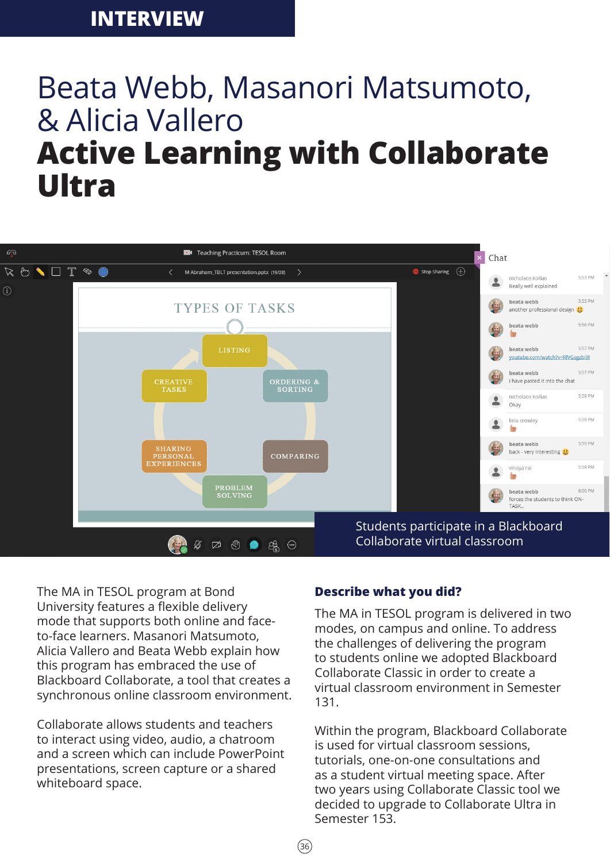# Beata Webb, Masanori Matsumoto, & Alicia Vallero **Active Learning with Collaborate Ultra**



 $(36)$ 

The MA in TESOL program at Bond University features a flexible delivery mode that supports both online and faceto-face learners. Masanori Matsumoto, Alicia Vallero and Beata Webb explain how this program has embraced the use of Blackboard Collaborate, a tool that creates a synchronous online classroom environment.

Collaborate allows students and teachers to interact using video, audio, a chatroom and a screen which can include PowerPoint presentations, screen capture or a shared whiteboard space.

#### **Describe what you did?**

The MA in TESOL program is delivered in two modes, on campus and online. To address the challenges of delivering the program to students online we adopted Blackboard Collaborate Classic in order to create a virtual classroom environment in Semester 131.

Within the program, Blackboard Collaborate is used for virtual classroom sessions, tutorials, one-on-one consultations and as a student virtual meeting space. After two years using Collaborate Classic tool we decided to upgrade to Collaborate Ultra in Semester 153.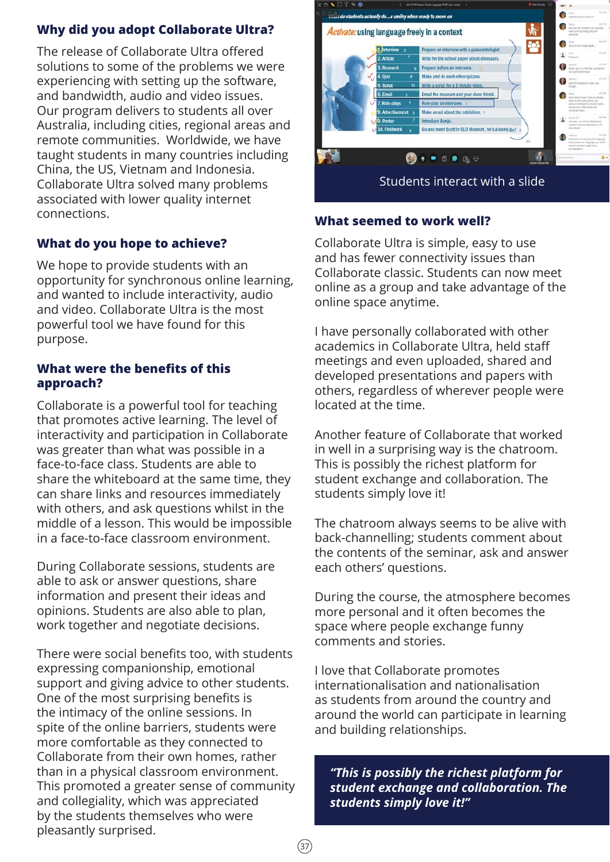# **Why did you adopt Collaborate Ultra?**

The release of Collaborate Ultra offered solutions to some of the problems we were experiencing with setting up the software, and bandwidth, audio and video issues. Our program delivers to students all over Australia, including cities, regional areas and remote communities. Worldwide, we have taught students in many countries including China, the US, Vietnam and Indonesia. Collaborate Ultra solved many problems associated with lower quality internet connections.

# **What do you hope to achieve?**

We hope to provide students with an opportunity for synchronous online learning, and wanted to include interactivity, audio and video. Collaborate Ultra is the most powerful tool we have found for this purpose.

## **What were the benefits of this approach?**

Collaborate is a powerful tool for teaching that promotes active learning. The level of interactivity and participation in Collaborate was greater than what was possible in a face-to-face class. Students are able to share the whiteboard at the same time, they can share links and resources immediately with others, and ask questions whilst in the middle of a lesson. This would be impossible in a face-to-face classroom environment.

During Collaborate sessions, students are able to ask or answer questions, share information and present their ideas and opinions. Students are also able to plan, work together and negotiate decisions.

There were social benefits too, with students expressing companionship, emotional support and giving advice to other students. One of the most surprising benefits is the intimacy of the online sessions. In spite of the online barriers, students were more comfortable as they connected to Collaborate from their own homes, rather than in a physical classroom environment. This promoted a greater sense of community and collegiality, which was appreciated by the students themselves who were pleasantly surprised.



## **What seemed to work well?**

Collaborate Ultra is simple, easy to use and has fewer connectivity issues than Collaborate classic. Students can now meet online as a group and take advantage of the online space anytime.

I have personally collaborated with other academics in Collaborate Ultra, held staff meetings and even uploaded, shared and developed presentations and papers with others, regardless of wherever people were located at the time.

Another feature of Collaborate that worked in well in a surprising way is the chatroom. This is possibly the richest platform for student exchange and collaboration. The students simply love it!

The chatroom always seems to be alive with back-channelling; students comment about the contents of the seminar, ask and answer each others' questions.

During the course, the atmosphere becomes more personal and it often becomes the space where people exchange funny comments and stories.

I love that Collaborate promotes internationalisation and nationalisation as students from around the country and around the world can participate in learning and building relationships.

*"This is possibly the richest platform for student exchange and collaboration. The students simply love it!"*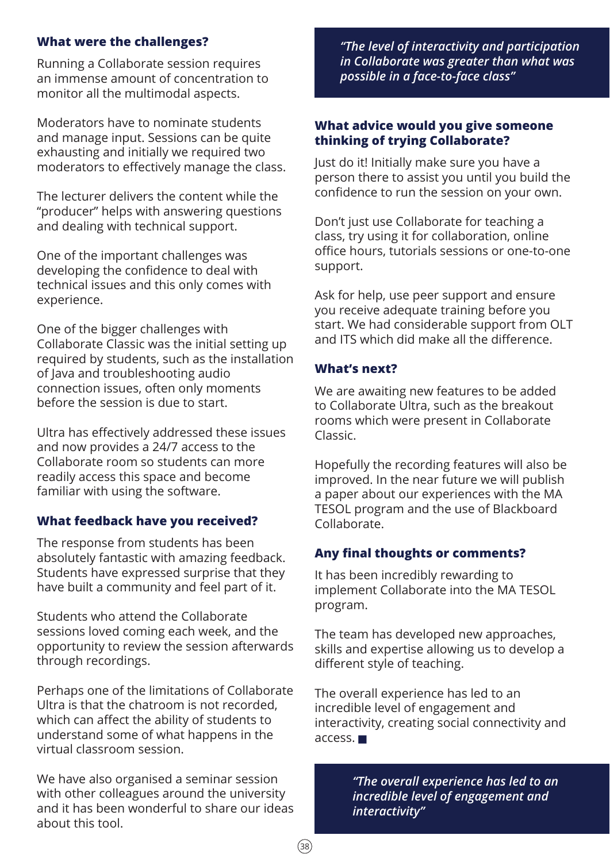## **What were the challenges?**

Running a Collaborate session requires an immense amount of concentration to monitor all the multimodal aspects.

Moderators have to nominate students and manage input. Sessions can be quite exhausting and initially we required two moderators to effectively manage the class.

The lecturer delivers the content while the "producer" helps with answering questions and dealing with technical support.

One of the important challenges was developing the confidence to deal with technical issues and this only comes with experience.

One of the bigger challenges with Collaborate Classic was the initial setting up required by students, such as the installation of Java and troubleshooting audio connection issues, often only moments before the session is due to start.

Ultra has effectively addressed these issues and now provides a 24/7 access to the Collaborate room so students can more readily access this space and become familiar with using the software.

# **What feedback have you received?**

The response from students has been absolutely fantastic with amazing feedback. Students have expressed surprise that they have built a community and feel part of it.

Students who attend the Collaborate sessions loved coming each week, and the opportunity to review the session afterwards through recordings.

Perhaps one of the limitations of Collaborate Ultra is that the chatroom is not recorded, which can affect the ability of students to understand some of what happens in the virtual classroom session.

We have also organised a seminar session with other colleagues around the university and it has been wonderful to share our ideas about this tool.

*"The level of interactivity and participation in Collaborate was greater than what was possible in a face-to-face class"*

#### **What advice would you give someone thinking of trying Collaborate?**

Just do it! Initially make sure you have a person there to assist you until you build the confidence to run the session on your own.

Don't just use Collaborate for teaching a class, try using it for collaboration, online office hours, tutorials sessions or one-to-one support.

Ask for help, use peer support and ensure you receive adequate training before you start. We had considerable support from OLT and ITS which did make all the difference.

#### **What's next?**

We are awaiting new features to be added to Collaborate Ultra, such as the breakout rooms which were present in Collaborate Classic.

Hopefully the recording features will also be improved. In the near future we will publish a paper about our experiences with the MA TESOL program and the use of Blackboard Collaborate.

## **Any final thoughts or comments?**

It has been incredibly rewarding to implement Collaborate into the MA TESOL program.

The team has developed new approaches, skills and expertise allowing us to develop a different style of teaching.

The overall experience has led to an incredible level of engagement and interactivity, creating social connectivity and access.

> *"The overall experience has led to an incredible level of engagement and interactivity"*